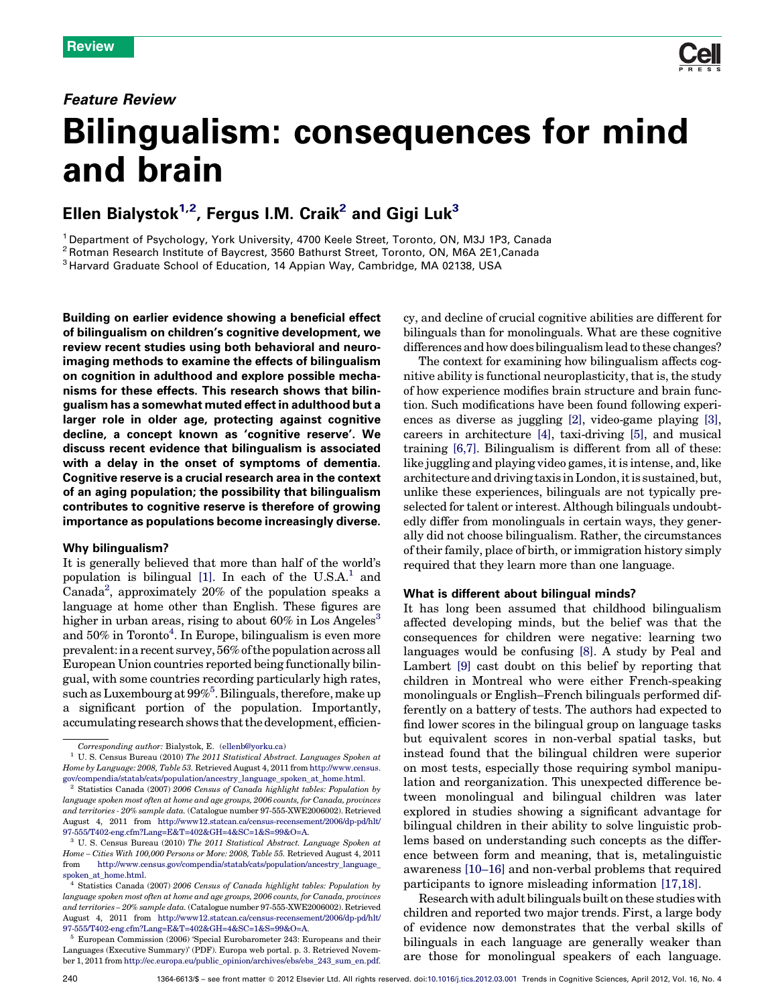### Feature Review



# Bilingualism: consequences for mind and brain

## Ellen Bialystok $^{1,2}$ , Fergus I.M. Craik $^2$  and Gigi Luk $^3$

<sup>1</sup> Department of Psychology, York University, 4700 Keele Street, Toronto, ON, M3J 1P3, Canada<br><sup>2</sup> Rotman Research Institute of Baycrest, 3560 Bathurst Street, Toronto, ON, M6A 2E1,Canada<br><sup>3</sup> Harvard Graduate School of Edu

Building on earlier evidence showing a beneficial effect of bilingualism on children's cognitive development, we review recent studies using both behavioral and neuroimaging methods to examine the effects of bilingualism on cognition in adulthood and explore possible mechanisms for these effects. This research shows that bilingualism has a somewhat muted effectin adulthood but a larger role in older age, protecting against cognitive decline, a concept known as 'cognitive reserve'. We discuss recent evidence that bilingualism is associated with a delay in the onset of symptoms of dementia. Cognitive reserve is a crucial research area in the context of an aging population; the possibility that bilingualism contributes to cognitive reserve is therefore of growing importance as populations become increasingly diverse.

#### Why bilingualism?

It is generally believed that more than half of the world's population is bilingual  $[1]$ . In each of the U.S.A.<sup>1</sup> and Canada<sup>2</sup>, approximately 20% of the population speaks a language at home other than English. These figures are higher in urban areas, rising to about  $60\%$  in Los Angeles<sup>3</sup> and 50% in Toronto<sup>4</sup>. In Europe, bilingualism is even more prevalent:ina recent survey, 56%ofthepopulationacross all European Union countries reported being functionally bilingual, with some countries recording particularly high rates, such as Luxembourg at 99%<sup>5</sup>. Bilinguals, therefore, make up a significant portion of the population. Importantly, accumulating research shows that the development, efficiency, and decline of crucial cognitive abilities are different for bilinguals than for monolinguals. What are these cognitive differences and how does bilingualism lead to these changes?

The context for examining how bilingualism affects cognitive ability is functional neuroplasticity, that is, the study of how experience modifies brain structure and brain function. Such modifications have been found following experiences as diverse as juggling [\[2\],](#page-8-0) video-game playing [\[3\]](#page-8-0), careers in architecture [\[4\]](#page-8-0), taxi-driving [\[5\]](#page-8-0), and musical training [\[6,7\]](#page-8-0). Bilingualism is different from all of these: like juggling and playing video games, it is intense, and, like architecture and driving taxis in London, it is sustained, but, unlike these experiences, bilinguals are not typically preselected for talent or interest. Although bilinguals undoubtedly differ from monolinguals in certain ways, they generally did not choose bilingualism. Rather, the circumstances of their family, place of birth, or immigration history simply required that they learn more than one language.

#### What is different about bilingual minds?

It has long been assumed that childhood bilingualism affected developing minds, but the belief was that the consequences for children were negative: learning two languages would be confusing [\[8\].](#page-8-0) A study by Peal and Lambert [\[9\]](#page-8-0) cast doubt on this belief by reporting that children in Montreal who were either French-speaking monolinguals or English–French bilinguals performed differently on a battery of tests. The authors had expected to find lower scores in the bilingual group on language tasks but equivalent scores in non-verbal spatial tasks, but instead found that the bilingual children were superior on most tests, especially those requiring symbol manipulation and reorganization. This unexpected difference between monolingual and bilingual children was later explored in studies showing a significant advantage for bilingual children in their ability to solve linguistic problems based on understanding such concepts as the difference between form and meaning, that is, metalinguistic awareness [\[10–16\]](#page-8-0) and non-verbal problems that required participants to ignore misleading information [\[17,18\]](#page-8-0).

Researchwithadult bilinguals built onthese studieswith children and reported two major trends. First, a large body of evidence now demonstrates that the verbal skills of bilinguals in each language are generally weaker than are those for monolingual speakers of each language.

Corresponding author: Bialystok, E. ([ellenb@yorku.ca\)](mailto:ellenb@yorku.ca)

U. S. Census Bureau (2010) The 2011 Statistical Abstract. Languages Spoken at Home by Language: 2008, Table 53. Retrieved August 4, 2011 from [http://www.census.](http://www.census.gov/compendia/statab/cats/population/ancestry_language_spoken_at_home.html) [gov/compendia/statab/cats/population/ancestry\\_language\\_spoken\\_at\\_home.html.](http://www.census.gov/compendia/statab/cats/population/ancestry_language_spoken_at_home.html) <sup>2</sup> Statistics Canada (2007) 2006 Census of Canada highlight tables: Population by

language spoken most often at home and age groups, 2006 counts, for Canada, provinces and territories - 20% sample data. (Catalogue number 97-555-XWE2006002). Retrieved August 4, 2011 from [http://www12.statcan.ca/census-recensement/2006/dp-pd/hlt/](http://www12.statcan.ca/census-recensement/2006/dp-pd/hlt/97-555/T402-eng.cfm?Lang=E&T=402&GH=4&SC=1&S=99&O=A) [97-555/T402-eng.cfm?Lang=E&T=402&GH=4&SC=1&S=99&O=A.](http://www12.statcan.ca/census-recensement/2006/dp-pd/hlt/97-555/T402-eng.cfm?Lang=E&T=402&GH=4&SC=1&S=99&O=A)

<sup>3</sup> U. S. Census Bureau (2010) The 2011 Statistical Abstract. Language Spoken at Home – Cities With 100,000 Persons or More: 2008, Table 55. Retrieved August 4, 2011 from [http://www.census.gov/compendia/statab/cats/population/ancestry\\_language\\_](http://www.census.gov/compendia/statab/cats/population/ancestry_language_spoken_at_home.html) spoken at home.html.

 $^4$  Statistics Canada (2007) 2006 Census of Canada highlight tables: Population by language spoken most often at home and age groups, 2006 counts, for Canada, provinces and territories – 20% sample data. (Catalogue number 97-555-XWE2006002). Retrieved August 4, 2011 from [http://www12.statcan.ca/census-recensement/2006/dp-pd/hlt/](http://www12.statcan.ca/census-recensement/2006/dp-pd/hlt/97-555/T402-eng.cfm?Lang=E&T=402&GH=4&SC=1&S=99&O=A) [97-555/T402-eng.cfm?Lang=E&T=402&GH=4&SC=1&S=99&O=A.](http://www12.statcan.ca/census-recensement/2006/dp-pd/hlt/97-555/T402-eng.cfm?Lang=E&T=402&GH=4&SC=1&S=99&O=A)

 $^5\,$  European Commission (2006) 'Special Eurobarometer 243: Europeans and their Languages (Executive Summary)' (PDF). Europa web portal. p. 3. Retrieved November 1, 2011 from [http://ec.europa.eu/public\\_opinion/archives/ebs/ebs\\_243\\_sum\\_en.pdf.](http://ec.europa.eu/public_opinion/archives/ebs/ebs_243_sum_en.pdf)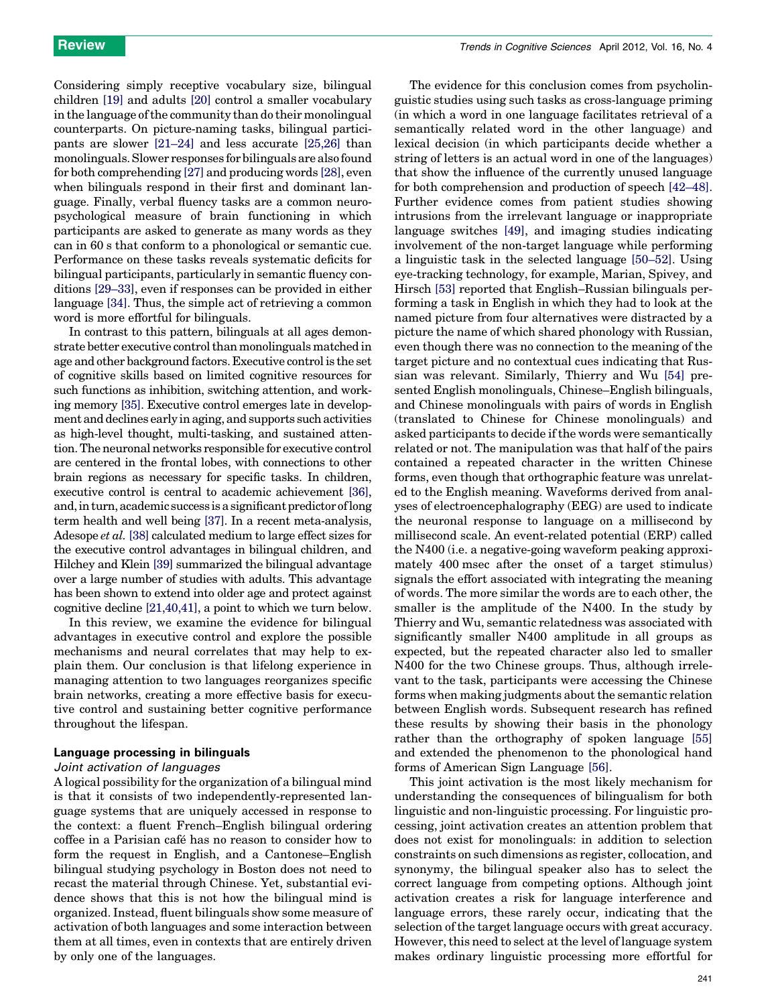Considering simply receptive vocabulary size, bilingual children [\[19\]](#page-8-0) and adults [\[20\]](#page-8-0) control a smaller vocabulary in the language of the community than do their monolingual counterparts. On picture-naming tasks, bilingual participants are slower [\[21–24\]](#page-8-0) and less accurate [\[25,26\]](#page-8-0) than monolinguals.Slower responses for bilingualsare also found for both comprehending [\[27\]](#page-8-0) and producing words [\[28\]](#page-8-0), even when bilinguals respond in their first and dominant language. Finally, verbal fluency tasks are a common neuropsychological measure of brain functioning in which participants are asked to generate as many words as they can in 60 s that conform to a phonological or semantic cue. Performance on these tasks reveals systematic deficits for bilingual participants, particularly in semantic fluency conditions [\[29–33\]](#page-8-0), even if responses can be provided in either language [\[34\]](#page-8-0). Thus, the simple act of retrieving a common word is more effortful for bilinguals.

In contrast to this pattern, bilinguals at all ages demonstrate better executive control than monolinguals matched in age and other background factors. Executive control is the set of cognitive skills based on limited cognitive resources for such functions as inhibition, switching attention, and working memory [\[35\]](#page-8-0). Executive control emerges late in development and declines early inaging, and supports such activities as high-level thought, multi-tasking, and sustained attention.The neuronal networks responsible for executive control are centered in the frontal lobes, with connections to other brain regions as necessary for specific tasks. In children, executive control is central to academic achievement [\[36\]](#page-8-0), and, in turn, academic success is a significant predictor of long term health and well being [\[37\]](#page-8-0). In a recent meta-analysis, Adesope et al. [\[38\]](#page-8-0) calculated medium to large effect sizes for the executive control advantages in bilingual children, and Hilchey and Klein [\[39\]](#page-8-0) summarized the bilingual advantage over a large number of studies with adults. This advantage has been shown to extend into older age and protect against cognitive decline [\[21,40,41\],](#page-8-0) a point to which we turn below.

In this review, we examine the evidence for bilingual advantages in executive control and explore the possible mechanisms and neural correlates that may help to explain them. Our conclusion is that lifelong experience in managing attention to two languages reorganizes specific brain networks, creating a more effective basis for executive control and sustaining better cognitive performance throughout the lifespan.

#### Language processing in bilinguals

#### Joint activation of languages

A logical possibility for the organization of a bilingual mind is that it consists of two independently-represented language systems that are uniquely accessed in response to the context: a fluent French–English bilingual ordering coffee in a Parisian cafe´ has no reason to consider how to form the request in English, and a Cantonese–English bilingual studying psychology in Boston does not need to recast the material through Chinese. Yet, substantial evidence shows that this is not how the bilingual mind is organized. Instead, fluent bilinguals show some measure of activation of both languages and some interaction between them at all times, even in contexts that are entirely driven by only one of the languages.

The evidence for this conclusion comes from psycholinguistic studies using such tasks as cross-language priming (in which a word in one language facilitates retrieval of a semantically related word in the other language) and lexical decision (in which participants decide whether a string of letters is an actual word in one of the languages) that show the influence of the currently unused language for both comprehension and production of speech [\[42–48\]](#page-8-0). Further evidence comes from patient studies showing intrusions from the irrelevant language or inappropriate language switches [\[49\]](#page-9-0), and imaging studies indicating involvement of the non-target language while performing a linguistic task in the selected language [\[50–52\].](#page-9-0) Using eye-tracking technology, for example, Marian, Spivey, and Hirsch [\[53\]](#page-9-0) reported that English–Russian bilinguals performing a task in English in which they had to look at the named picture from four alternatives were distracted by a picture the name of which shared phonology with Russian, even though there was no connection to the meaning of the target picture and no contextual cues indicating that Russian was relevant. Similarly, Thierry and Wu [\[54\]](#page-9-0) presented English monolinguals, Chinese–English bilinguals, and Chinese monolinguals with pairs of words in English (translated to Chinese for Chinese monolinguals) and asked participants to decide if the words were semantically related or not. The manipulation was that half of the pairs contained a repeated character in the written Chinese forms, even though that orthographic feature was unrelated to the English meaning. Waveforms derived from analyses of electroencephalography (EEG) are used to indicate the neuronal response to language on a millisecond by millisecond scale. An event-related potential (ERP) called the N400 (i.e. a negative-going waveform peaking approximately 400 msec after the onset of a target stimulus) signals the effort associated with integrating the meaning of words. The more similar the words are to each other, the smaller is the amplitude of the N400. In the study by Thierry and Wu, semantic relatedness was associated with significantly smaller N400 amplitude in all groups as expected, but the repeated character also led to smaller N400 for the two Chinese groups. Thus, although irrelevant to the task, participants were accessing the Chinese forms when making judgments about the semantic relation between English words. Subsequent research has refined these results by showing their basis in the phonology rather than the orthography of spoken language [\[55\]](#page-9-0) and extended the phenomenon to the phonological hand forms of American Sign Language [\[56\].](#page-9-0)

This joint activation is the most likely mechanism for understanding the consequences of bilingualism for both linguistic and non-linguistic processing. For linguistic processing, joint activation creates an attention problem that does not exist for monolinguals: in addition to selection constraints on such dimensions as register, collocation, and synonymy, the bilingual speaker also has to select the correct language from competing options. Although joint activation creates a risk for language interference and language errors, these rarely occur, indicating that the selection of the target language occurs with great accuracy. However, this need to select at the level of language system makes ordinary linguistic processing more effortful for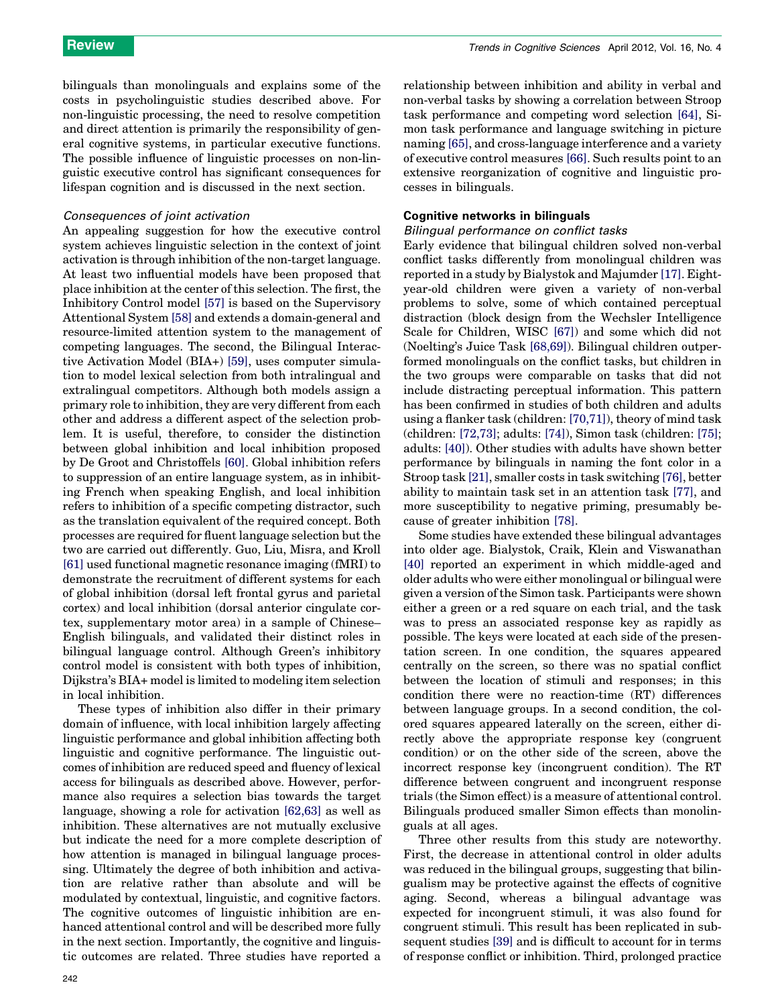bilinguals than monolinguals and explains some of the costs in psycholinguistic studies described above. For non-linguistic processing, the need to resolve competition and direct attention is primarily the responsibility of general cognitive systems, in particular executive functions. The possible influence of linguistic processes on non-linguistic executive control has significant consequences for lifespan cognition and is discussed in the next section.

#### Consequences of joint activation

An appealing suggestion for how the executive control system achieves linguistic selection in the context of joint activation is through inhibition of the non-target language. At least two influential models have been proposed that place inhibition at the center of this selection. The first, the Inhibitory Control model [\[57\]](#page-9-0) is based on the Supervisory Attentional System [\[58\]](#page-9-0) and extends a domain-general and resource-limited attention system to the management of competing languages. The second, the Bilingual Interactive Activation Model (BIA+) [\[59\],](#page-9-0) uses computer simulation to model lexical selection from both intralingual and extralingual competitors. Although both models assign a primary role to inhibition, they are very different from each other and address a different aspect of the selection problem. It is useful, therefore, to consider the distinction between global inhibition and local inhibition proposed by De Groot and Christoffels [\[60\].](#page-9-0) Global inhibition refers to suppression of an entire language system, as in inhibiting French when speaking English, and local inhibition refers to inhibition of a specific competing distractor, such as the translation equivalent of the required concept. Both processes are required for fluent language selection but the two are carried out differently. Guo, Liu, Misra, and Kroll [\[61\]](#page-9-0) used functional magnetic resonance imaging (fMRI) to demonstrate the recruitment of different systems for each of global inhibition (dorsal left frontal gyrus and parietal cortex) and local inhibition (dorsal anterior cingulate cortex, supplementary motor area) in a sample of Chinese– English bilinguals, and validated their distinct roles in bilingual language control. Although Green's inhibitory control model is consistent with both types of inhibition, Dijkstra's BIA+ model is limited to modeling item selection in local inhibition.

These types of inhibition also differ in their primary domain of influence, with local inhibition largely affecting linguistic performance and global inhibition affecting both linguistic and cognitive performance. The linguistic outcomes of inhibition are reduced speed and fluency of lexical access for bilinguals as described above. However, performance also requires a selection bias towards the target language, showing a role for activation [\[62,63\]](#page-9-0) as well as inhibition. These alternatives are not mutually exclusive but indicate the need for a more complete description of how attention is managed in bilingual language processing. Ultimately the degree of both inhibition and activation are relative rather than absolute and will be modulated by contextual, linguistic, and cognitive factors. The cognitive outcomes of linguistic inhibition are enhanced attentional control and will be described more fully in the next section. Importantly, the cognitive and linguistic outcomes are related. Three studies have reported a relationship between inhibition and ability in verbal and non-verbal tasks by showing a correlation between Stroop task performance and competing word selection [\[64\]](#page-9-0), Simon task performance and language switching in picture naming [\[65\]](#page-9-0), and cross-language interference and a variety of executive control measures [\[66\].](#page-9-0) Such results point to an extensive reorganization of cognitive and linguistic processes in bilinguals.

#### Cognitive networks in bilinguals

#### Bilingual performance on conflict tasks

Early evidence that bilingual children solved non-verbal conflict tasks differently from monolingual children was reported in a study by Bialystok and Majumder [\[17\]](#page-8-0). Eightyear-old children were given a variety of non-verbal problems to solve, some of which contained perceptual distraction (block design from the Wechsler Intelligence Scale for Children, WISC [\[67\]\)](#page-9-0) and some which did not (Noelting's Juice Task [\[68,69\]\)](#page-9-0). Bilingual children outperformed monolinguals on the conflict tasks, but children in the two groups were comparable on tasks that did not include distracting perceptual information. This pattern has been confirmed in studies of both children and adults using a flanker task (children: [\[70,71\]\)](#page-9-0), theory of mind task (children: [\[72,73\]](#page-9-0); adults: [\[74\]\)](#page-9-0), Simon task (children: [\[75\]](#page-9-0); adults: [\[40\]\)](#page-8-0). Other studies with adults have shown better performance by bilinguals in naming the font color in a Stroop task [\[21\]](#page-8-0), smaller costs in task switching [\[76\]](#page-9-0), better ability to maintain task set in an attention task [\[77\],](#page-9-0) and more susceptibility to negative priming, presumably because of greater inhibition [\[78\].](#page-9-0)

Some studies have extended these bilingual advantages into older age. Bialystok, Craik, Klein and Viswanathan [\[40\]](#page-8-0) reported an experiment in which middle-aged and older adults who were either monolingual or bilingual were given a version of the Simon task. Participants were shown either a green or a red square on each trial, and the task was to press an associated response key as rapidly as possible. The keys were located at each side of the presentation screen. In one condition, the squares appeared centrally on the screen, so there was no spatial conflict between the location of stimuli and responses; in this condition there were no reaction-time (RT) differences between language groups. In a second condition, the colored squares appeared laterally on the screen, either directly above the appropriate response key (congruent condition) or on the other side of the screen, above the incorrect response key (incongruent condition). The RT difference between congruent and incongruent response trials (the Simon effect) is a measure of attentional control. Bilinguals produced smaller Simon effects than monolinguals at all ages.

Three other results from this study are noteworthy. First, the decrease in attentional control in older adults was reduced in the bilingual groups, suggesting that bilingualism may be protective against the effects of cognitive aging. Second, whereas a bilingual advantage was expected for incongruent stimuli, it was also found for congruent stimuli. This result has been replicated in subsequent studies [\[39\]](#page-8-0) and is difficult to account for in terms of response conflict or inhibition. Third, prolonged practice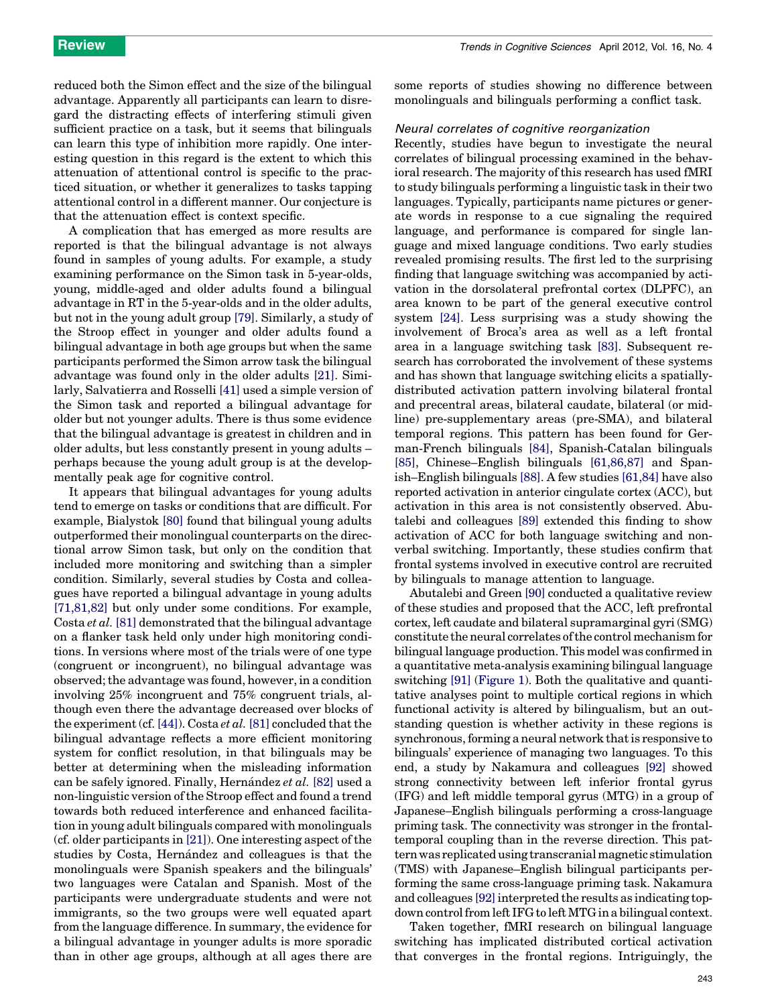reduced both the Simon effect and the size of the bilingual advantage. Apparently all participants can learn to disregard the distracting effects of interfering stimuli given sufficient practice on a task, but it seems that bilinguals can learn this type of inhibition more rapidly. One interesting question in this regard is the extent to which this attenuation of attentional control is specific to the practiced situation, or whether it generalizes to tasks tapping attentional control in a different manner. Our conjecture is that the attenuation effect is context specific.

A complication that has emerged as more results are reported is that the bilingual advantage is not always found in samples of young adults. For example, a study examining performance on the Simon task in 5-year-olds, young, middle-aged and older adults found a bilingual advantage in RT in the 5-year-olds and in the older adults, but not in the young adult group [\[79\]](#page-9-0). Similarly, a study of the Stroop effect in younger and older adults found a bilingual advantage in both age groups but when the same participants performed the Simon arrow task the bilingual advantage was found only in the older adults [\[21\]](#page-8-0). Similarly, Salvatierra and Rosselli [\[41\]](#page-8-0) used a simple version of the Simon task and reported a bilingual advantage for older but not younger adults. There is thus some evidence that the bilingual advantage is greatest in children and in older adults, but less constantly present in young adults – perhaps because the young adult group is at the developmentally peak age for cognitive control.

It appears that bilingual advantages for young adults tend to emerge on tasks or conditions that are difficult. For example, Bialystok [\[80\]](#page-9-0) found that bilingual young adults outperformed their monolingual counterparts on the directional arrow Simon task, but only on the condition that included more monitoring and switching than a simpler condition. Similarly, several studies by Costa and colleagues have reported a bilingual advantage in young adults [\[71,81,82\]](#page-9-0) but only under some conditions. For example, Costa et al. [\[81\]](#page-9-0) demonstrated that the bilingual advantage on a flanker task held only under high monitoring conditions. In versions where most of the trials were of one type (congruent or incongruent), no bilingual advantage was observed; the advantage was found, however, in a condition involving 25% incongruent and 75% congruent trials, although even there the advantage decreased over blocks of the experiment (cf.  $[44]$ ). Costa *et al.* [\[81\]](#page-9-0) concluded that the bilingual advantage reflects a more efficient monitoring system for conflict resolution, in that bilinguals may be better at determining when the misleading information can be safely ignored. Finally, Hernández et al. [\[82\]](#page-9-0) used a non-linguistic version of the Stroop effect and found a trend towards both reduced interference and enhanced facilitation in young adult bilinguals compared with monolinguals (cf. older participants in [\[21\]](#page-8-0)). One interesting aspect of the studies by Costa, Hernández and colleagues is that the monolinguals were Spanish speakers and the bilinguals' two languages were Catalan and Spanish. Most of the participants were undergraduate students and were not immigrants, so the two groups were well equated apart from the language difference. In summary, the evidence for a bilingual advantage in younger adults is more sporadic than in other age groups, although at all ages there are

some reports of studies showing no difference between monolinguals and bilinguals performing a conflict task.

#### Neural correlates of cognitive reorganization

Recently, studies have begun to investigate the neural correlates of bilingual processing examined in the behavioral research. The majority of this research has used fMRI to study bilinguals performing a linguistic task in their two languages. Typically, participants name pictures or generate words in response to a cue signaling the required language, and performance is compared for single language and mixed language conditions. Two early studies revealed promising results. The first led to the surprising finding that language switching was accompanied by activation in the dorsolateral prefrontal cortex (DLPFC), an area known to be part of the general executive control system [\[24\].](#page-8-0) Less surprising was a study showing the involvement of Broca's area as well as a left frontal area in a language switching task [\[83\]](#page-9-0). Subsequent research has corroborated the involvement of these systems and has shown that language switching elicits a spatiallydistributed activation pattern involving bilateral frontal and precentral areas, bilateral caudate, bilateral (or midline) pre-supplementary areas (pre-SMA), and bilateral temporal regions. This pattern has been found for German-French bilinguals [\[84\]](#page-9-0), Spanish-Catalan bilinguals [\[85\]](#page-9-0), Chinese–English bilinguals [\[61,86,87\]](#page-9-0) and Spanish–English bilinguals [\[88\]](#page-9-0). A few studies [\[61,84\]](#page-9-0) have also reported activation in anterior cingulate cortex (ACC), but activation in this area is not consistently observed. Abutalebi and colleagues [\[89\]](#page-9-0) extended this finding to show activation of ACC for both language switching and nonverbal switching. Importantly, these studies confirm that frontal systems involved in executive control are recruited by bilinguals to manage attention to language.

Abutalebi and Green [\[90\]](#page-9-0) conducted a qualitative review of these studies and proposed that the ACC, left prefrontal cortex, left caudate and bilateral supramarginal gyri (SMG) constitute the neural correlates ofthe control mechanism for bilingual language production. This model was confirmed in a quantitative meta-analysis examining bilingual language switching [\[91\]](#page-9-0) ([Figure](#page-4-0) 1). Both the qualitative and quantitative analyses point to multiple cortical regions in which functional activity is altered by bilingualism, but an outstanding question is whether activity in these regions is synchronous, forming a neural network that is responsive to bilinguals' experience of managing two languages. To this end, a study by Nakamura and colleagues [\[92\]](#page-9-0) showed strong connectivity between left inferior frontal gyrus (IFG) and left middle temporal gyrus (MTG) in a group of Japanese–English bilinguals performing a cross-language priming task. The connectivity was stronger in the frontaltemporal coupling than in the reverse direction. This pattern was replicated using transcranial magnetic stimulation (TMS) with Japanese–English bilingual participants performing the same cross-language priming task. Nakamura and colleagues [\[92\]](#page-9-0) interpreted the results as indicating topdown control from left IFG to left MTG in a bilingual context.

Taken together, fMRI research on bilingual language switching has implicated distributed cortical activation that converges in the frontal regions. Intriguingly, the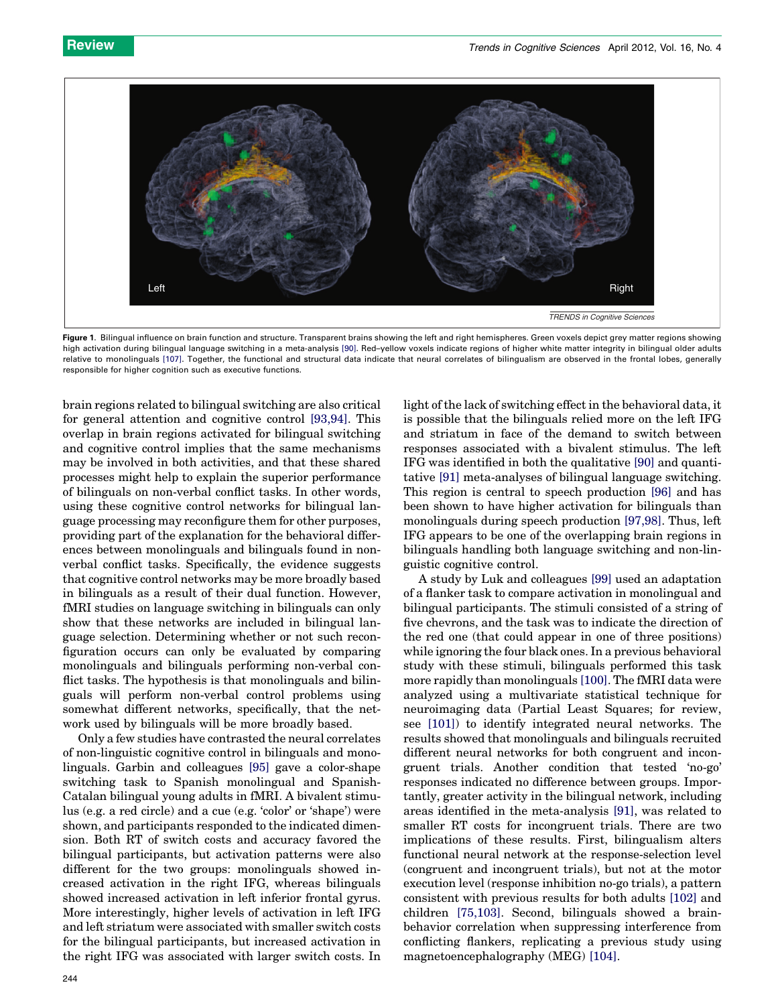<span id="page-4-0"></span>

Figure 1. Bilingual influence on brain function and structure. Transparent brains showing the left and right hemispheres. Green voxels depict grey matter regions showing high activation during bilingual language switching in a meta-analysis [\[90\]](#page-9-0). Red–yellow voxels indicate regions of higher white matter integrity in bilingual older adults relative to monolinguals [\[107\].](#page-10-0) Together, the functional and structural data indicate that neural correlates of bilingualism are observed in the frontal lobes, generally responsible for higher cognition such as executive functions.

brain regions related to bilingual switching are also critical for general attention and cognitive control [\[93,94\].](#page-9-0) This overlap in brain regions activated for bilingual switching and cognitive control implies that the same mechanisms may be involved in both activities, and that these shared processes might help to explain the superior performance of bilinguals on non-verbal conflict tasks. In other words, using these cognitive control networks for bilingual language processing may reconfigure them for other purposes, providing part of the explanation for the behavioral differences between monolinguals and bilinguals found in nonverbal conflict tasks. Specifically, the evidence suggests that cognitive control networks may be more broadly based in bilinguals as a result of their dual function. However, fMRI studies on language switching in bilinguals can only show that these networks are included in bilingual language selection. Determining whether or not such reconfiguration occurs can only be evaluated by comparing monolinguals and bilinguals performing non-verbal conflict tasks. The hypothesis is that monolinguals and bilinguals will perform non-verbal control problems using somewhat different networks, specifically, that the network used by bilinguals will be more broadly based.

Only a few studies have contrasted the neural correlates of non-linguistic cognitive control in bilinguals and monolinguals. Garbin and colleagues [\[95\]](#page-9-0) gave a color-shape switching task to Spanish monolingual and Spanish-Catalan bilingual young adults in fMRI. A bivalent stimulus (e.g. a red circle) and a cue (e.g. 'color' or 'shape') were shown, and participants responded to the indicated dimension. Both RT of switch costs and accuracy favored the bilingual participants, but activation patterns were also different for the two groups: monolinguals showed increased activation in the right IFG, whereas bilinguals showed increased activation in left inferior frontal gyrus. More interestingly, higher levels of activation in left IFG and left striatum were associated with smaller switch costs for the bilingual participants, but increased activation in the right IFG was associated with larger switch costs. In light of the lack of switching effect in the behavioral data, it is possible that the bilinguals relied more on the left IFG and striatum in face of the demand to switch between responses associated with a bivalent stimulus. The left IFG was identified in both the qualitative [\[90\]](#page-9-0) and quantitative [\[91\]](#page-9-0) meta-analyses of bilingual language switching. This region is central to speech production [\[96\]](#page-9-0) and has been shown to have higher activation for bilinguals than monolinguals during speech production [\[97,98\]](#page-10-0). Thus, left IFG appears to be one of the overlapping brain regions in bilinguals handling both language switching and non-linguistic cognitive control.

A study by Luk and colleagues [\[99\]](#page-10-0) used an adaptation of a flanker task to compare activation in monolingual and bilingual participants. The stimuli consisted of a string of five chevrons, and the task was to indicate the direction of the red one (that could appear in one of three positions) while ignoring the four black ones. In a previous behavioral study with these stimuli, bilinguals performed this task more rapidly than monolinguals [\[100\].](#page-10-0) The fMRI data were analyzed using a multivariate statistical technique for neuroimaging data (Partial Least Squares; for review, see [\[101\]](#page-10-0)) to identify integrated neural networks. The results showed that monolinguals and bilinguals recruited different neural networks for both congruent and incongruent trials. Another condition that tested 'no-go' responses indicated no difference between groups. Importantly, greater activity in the bilingual network, including areas identified in the meta-analysis [\[91\],](#page-9-0) was related to smaller RT costs for incongruent trials. There are two implications of these results. First, bilingualism alters functional neural network at the response-selection level (congruent and incongruent trials), but not at the motor execution level (response inhibition no-go trials), a pattern consistent with previous results for both adults [\[102\]](#page-10-0) and children [\[75,103\]](#page-9-0). Second, bilinguals showed a brainbehavior correlation when suppressing interference from conflicting flankers, replicating a previous study using magnetoencephalography (MEG) [\[104\]](#page-10-0).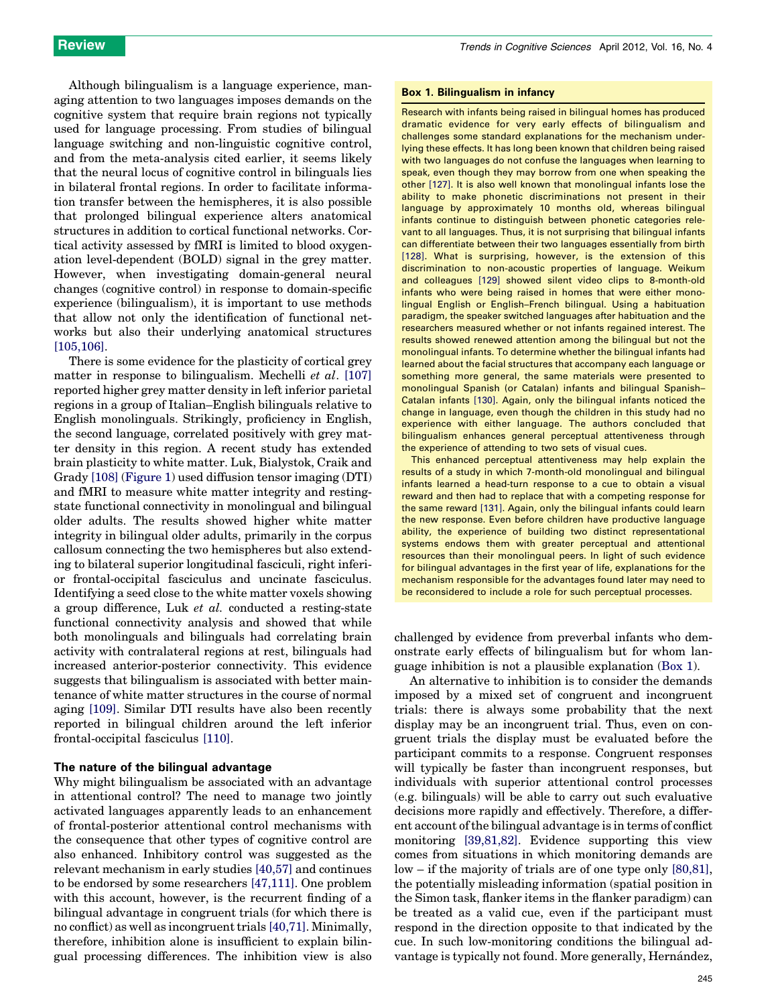Although bilingualism is a language experience, managing attention to two languages imposes demands on the cognitive system that require brain regions not typically used for language processing. From studies of bilingual language switching and non-linguistic cognitive control, and from the meta-analysis cited earlier, it seems likely that the neural locus of cognitive control in bilinguals lies in bilateral frontal regions. In order to facilitate information transfer between the hemispheres, it is also possible that prolonged bilingual experience alters anatomical structures in addition to cortical functional networks. Cortical activity assessed by fMRI is limited to blood oxygenation level-dependent (BOLD) signal in the grey matter. However, when investigating domain-general neural changes (cognitive control) in response to domain-specific experience (bilingualism), it is important to use methods that allow not only the identification of functional networks but also their underlying anatomical structures [\[105,106\].](#page-10-0)

There is some evidence for the plasticity of cortical grey matter in response to bilingualism. Mechelli et al. [\[107\]](#page-10-0) reported higher grey matter density in left inferior parietal regions in a group of Italian–English bilinguals relative to English monolinguals. Strikingly, proficiency in English, the second language, correlated positively with grey matter density in this region. A recent study has extended brain plasticity to white matter. Luk, Bialystok, Craik and Grady [\[108\]](#page-10-0) ([Figure](#page-4-0) 1) used diffusion tensor imaging (DTI) and fMRI to measure white matter integrity and restingstate functional connectivity in monolingual and bilingual older adults. The results showed higher white matter integrity in bilingual older adults, primarily in the corpus callosum connecting the two hemispheres but also extending to bilateral superior longitudinal fasciculi, right inferior frontal-occipital fasciculus and uncinate fasciculus. Identifying a seed close to the white matter voxels showing a group difference, Luk et al. conducted a resting-state functional connectivity analysis and showed that while both monolinguals and bilinguals had correlating brain activity with contralateral regions at rest, bilinguals had increased anterior-posterior connectivity. This evidence suggests that bilingualism is associated with better maintenance of white matter structures in the course of normal aging [\[109\].](#page-10-0) Similar DTI results have also been recently reported in bilingual children around the left inferior frontal-occipital fasciculus [\[110\].](#page-10-0)

#### The nature of the bilingual advantage

Why might bilingualism be associated with an advantage in attentional control? The need to manage two jointly activated languages apparently leads to an enhancement of frontal-posterior attentional control mechanisms with the consequence that other types of cognitive control are also enhanced. Inhibitory control was suggested as the relevant mechanism in early studies [\[40,57\]](#page-8-0) and continues to be endorsed by some researchers [\[47,111\].](#page-9-0) One problem with this account, however, is the recurrent finding of a bilingual advantage in congruent trials (for which there is no conflict) as well as incongruent trials  $[40,71]$ . Minimally, therefore, inhibition alone is insufficient to explain bilingual processing differences. The inhibition view is also

#### Box 1. Bilingualism in infancy

Research with infants being raised in bilingual homes has produced dramatic evidence for very early effects of bilingualism and challenges some standard explanations for the mechanism underlying these effects. It has long been known that children being raised with two languages do not confuse the languages when learning to speak, even though they may borrow from one when speaking the other [\[127\].](#page-10-0) It is also well known that monolingual infants lose the ability to make phonetic discriminations not present in their language by approximately 10 months old, whereas bilingual infants continue to distinguish between phonetic categories relevant to all languages. Thus, it is not surprising that bilingual infants can differentiate between their two languages essentially from birth [\[128\]](#page-10-0). What is surprising, however, is the extension of this discrimination to non-acoustic properties of language. Weikum and colleagues [\[129\]](#page-10-0) showed silent video clips to 8-month-old infants who were being raised in homes that were either monolingual English or English–French bilingual. Using a habituation paradigm, the speaker switched languages after habituation and the researchers measured whether or not infants regained interest. The results showed renewed attention among the bilingual but not the monolingual infants. To determine whether the bilingual infants had learned about the facial structures that accompany each language or something more general, the same materials were presented to monolingual Spanish (or Catalan) infants and bilingual Spanish– Catalan infants [\[130\]](#page-10-0). Again, only the bilingual infants noticed the change in language, even though the children in this study had no experience with either language. The authors concluded that bilingualism enhances general perceptual attentiveness through the experience of attending to two sets of visual cues.

This enhanced perceptual attentiveness may help explain the results of a study in which 7-month-old monolingual and bilingual infants learned a head-turn response to a cue to obtain a visual reward and then had to replace that with a competing response for the same reward [\[131\].](#page-10-0) Again, only the bilingual infants could learn the new response. Even before children have productive language ability, the experience of building two distinct representational systems endows them with greater perceptual and attentional resources than their monolingual peers. In light of such evidence for bilingual advantages in the first year of life, explanations for the mechanism responsible for the advantages found later may need to be reconsidered to include a role for such perceptual processes.

challenged by evidence from preverbal infants who demonstrate early effects of bilingualism but for whom language inhibition is not a plausible explanation (Box 1).

An alternative to inhibition is to consider the demands imposed by a mixed set of congruent and incongruent trials: there is always some probability that the next display may be an incongruent trial. Thus, even on congruent trials the display must be evaluated before the participant commits to a response. Congruent responses will typically be faster than incongruent responses, but individuals with superior attentional control processes (e.g. bilinguals) will be able to carry out such evaluative decisions more rapidly and effectively. Therefore, a different account ofthe bilingual advantage is in terms of conflict monitoring [\[39,81,82\].](#page-8-0) Evidence supporting this view comes from situations in which monitoring demands are low – if the majority of trials are of one type only [\[80,81\]](#page-9-0), the potentially misleading information (spatial position in the Simon task, flanker items in the flanker paradigm) can be treated as a valid cue, even if the participant must respond in the direction opposite to that indicated by the cue. In such low-monitoring conditions the bilingual advantage is typically not found. More generally, Hernández,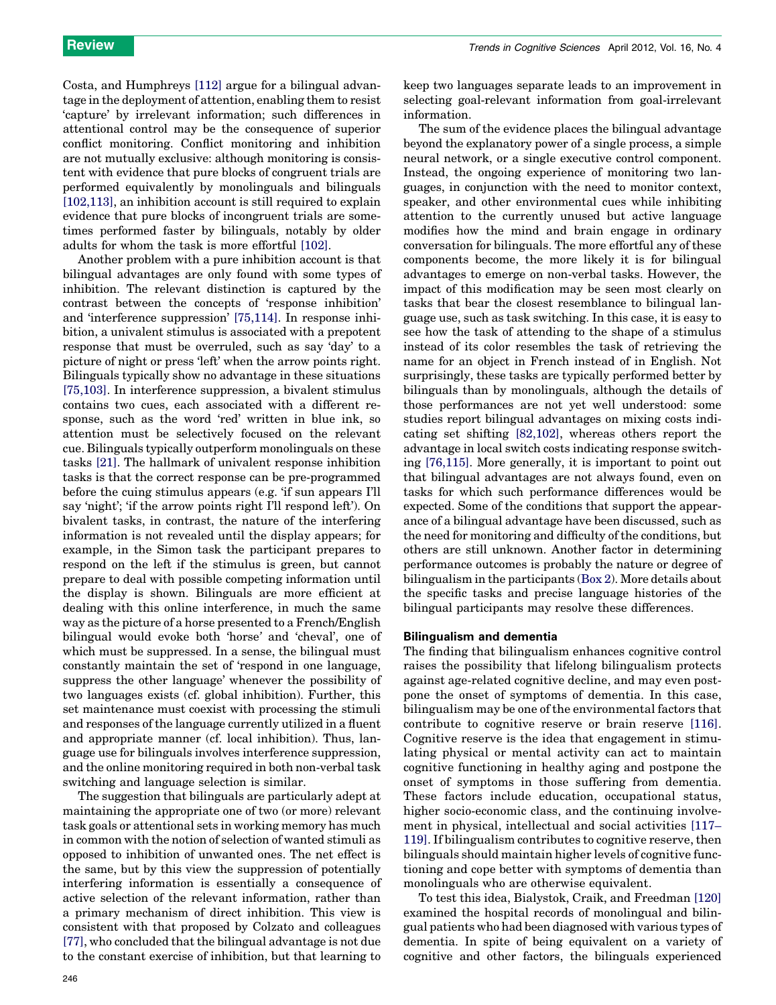Costa, and Humphreys [\[112\]](#page-10-0) argue for a bilingual advantage in the deployment of attention, enabling them to resist 'capture' by irrelevant information; such differences in attentional control may be the consequence of superior conflict monitoring. Conflict monitoring and inhibition are not mutually exclusive: although monitoring is consistent with evidence that pure blocks of congruent trials are performed equivalently by monolinguals and bilinguals [\[102,113\],](#page-10-0) an inhibition account is still required to explain evidence that pure blocks of incongruent trials are sometimes performed faster by bilinguals, notably by older adults for whom the task is more effortful [\[102\]](#page-10-0).

Another problem with a pure inhibition account is that bilingual advantages are only found with some types of inhibition. The relevant distinction is captured by the contrast between the concepts of 'response inhibition' and 'interference suppression' [\[75,114\]](#page-9-0). In response inhibition, a univalent stimulus is associated with a prepotent response that must be overruled, such as say 'day' to a picture of night or press 'left' when the arrow points right. Bilinguals typically show no advantage in these situations [\[75,103\]](#page-9-0). In interference suppression, a bivalent stimulus contains two cues, each associated with a different response, such as the word 'red' written in blue ink, so attention must be selectively focused on the relevant cue. Bilinguals typically outperform monolinguals on these tasks [\[21\]](#page-8-0). The hallmark of univalent response inhibition tasks is that the correct response can be pre-programmed before the cuing stimulus appears (e.g. 'if sun appears I'll say 'night'; 'if the arrow points right I'll respond left'). On bivalent tasks, in contrast, the nature of the interfering information is not revealed until the display appears; for example, in the Simon task the participant prepares to respond on the left if the stimulus is green, but cannot prepare to deal with possible competing information until the display is shown. Bilinguals are more efficient at dealing with this online interference, in much the same way as the picture of a horse presented to a French/English bilingual would evoke both 'horse' and 'cheval', one of which must be suppressed. In a sense, the bilingual must constantly maintain the set of 'respond in one language, suppress the other language' whenever the possibility of two languages exists (cf. global inhibition). Further, this set maintenance must coexist with processing the stimuli and responses of the language currently utilized in a fluent and appropriate manner (cf. local inhibition). Thus, language use for bilinguals involves interference suppression, and the online monitoring required in both non-verbal task switching and language selection is similar.

The suggestion that bilinguals are particularly adept at maintaining the appropriate one of two (or more) relevant task goals or attentional sets in working memory has much in common with the notion of selection of wanted stimuli as opposed to inhibition of unwanted ones. The net effect is the same, but by this view the suppression of potentially interfering information is essentially a consequence of active selection of the relevant information, rather than a primary mechanism of direct inhibition. This view is consistent with that proposed by Colzato and colleagues [\[77\]](#page-9-0), who concluded that the bilingual advantage is not due to the constant exercise of inhibition, but that learning to keep two languages separate leads to an improvement in selecting goal-relevant information from goal-irrelevant information.

The sum of the evidence places the bilingual advantage beyond the explanatory power of a single process, a simple neural network, or a single executive control component. Instead, the ongoing experience of monitoring two languages, in conjunction with the need to monitor context, speaker, and other environmental cues while inhibiting attention to the currently unused but active language modifies how the mind and brain engage in ordinary conversation for bilinguals. The more effortful any of these components become, the more likely it is for bilingual advantages to emerge on non-verbal tasks. However, the impact of this modification may be seen most clearly on tasks that bear the closest resemblance to bilingual language use, such as task switching. In this case, it is easy to see how the task of attending to the shape of a stimulus instead of its color resembles the task of retrieving the name for an object in French instead of in English. Not surprisingly, these tasks are typically performed better by bilinguals than by monolinguals, although the details of those performances are not yet well understood: some studies report bilingual advantages on mixing costs indicating set shifting [\[82,102\],](#page-9-0) whereas others report the advantage in local switch costs indicating response switching [\[76,115\].](#page-9-0) More generally, it is important to point out that bilingual advantages are not always found, even on tasks for which such performance differences would be expected. Some of the conditions that support the appearance of a bilingual advantage have been discussed, such as the need for monitoring and difficulty of the conditions, but others are still unknown. Another factor in determining performance outcomes is probably the nature or degree of bilingualism in the participants ([Box](#page-7-0) 2). More details about the specific tasks and precise language histories of the bilingual participants may resolve these differences.

#### Bilingualism and dementia

The finding that bilingualism enhances cognitive control raises the possibility that lifelong bilingualism protects against age-related cognitive decline, and may even postpone the onset of symptoms of dementia. In this case, bilingualism may be one of the environmental factors that contribute to cognitive reserve or brain reserve [\[116\]](#page-10-0). Cognitive reserve is the idea that engagement in stimulating physical or mental activity can act to maintain cognitive functioning in healthy aging and postpone the onset of symptoms in those suffering from dementia. These factors include education, occupational status, higher socio-economic class, and the continuing involvement in physical, intellectual and social activities [\[117–](#page-10-0) [119\].](#page-10-0) If bilingualism contributes to cognitive reserve, then bilinguals should maintain higher levels of cognitive functioning and cope better with symptoms of dementia than monolinguals who are otherwise equivalent.

To test this idea, Bialystok, Craik, and Freedman [\[120\]](#page-10-0) examined the hospital records of monolingual and bilingual patients who had been diagnosed with various types of dementia. In spite of being equivalent on a variety of cognitive and other factors, the bilinguals experienced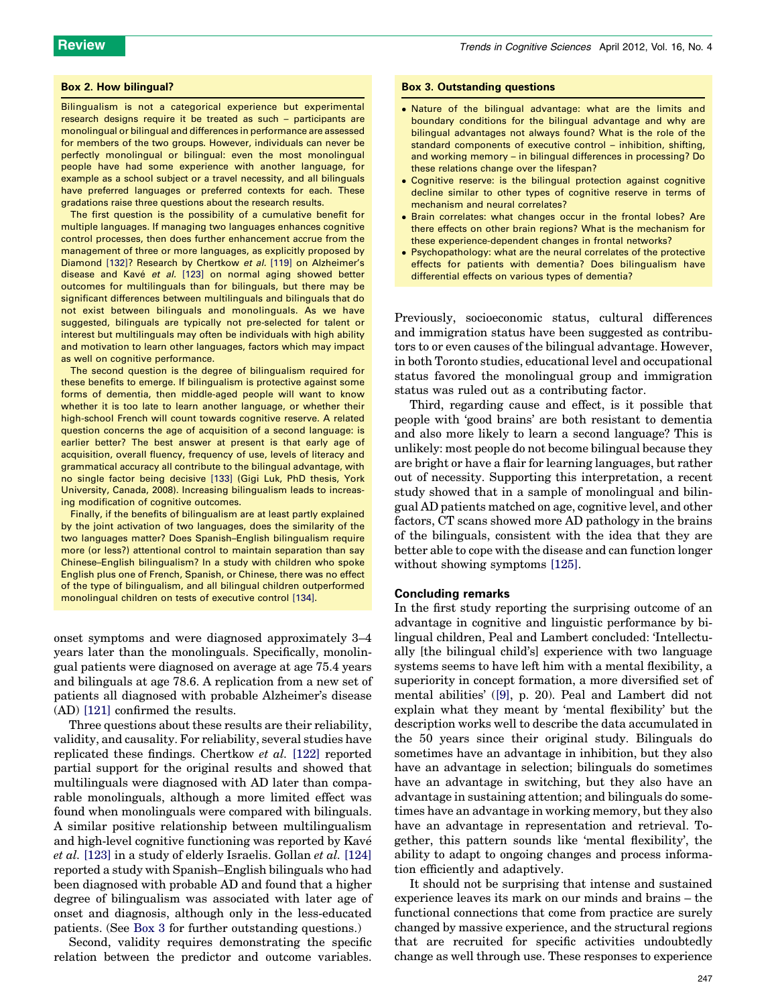#### <span id="page-7-0"></span>Box 2. How bilingual?

Bilingualism is not a categorical experience but experimental research designs require it be treated as such – participants are monolingual or bilingual and differences in performance are assessed for members of the two groups. However, individuals can never be perfectly monolingual or bilingual: even the most monolingual people have had some experience with another language, for example as a school subject or a travel necessity, and all bilinguals have preferred languages or preferred contexts for each. These gradations raise three questions about the research results.

The first question is the possibility of a cumulative benefit for multiple languages. If managing two languages enhances cognitive control processes, then does further enhancement accrue from the management of three or more languages, as explicitly proposed by Diamond [\[132\]](#page-10-0)? Research by Chertkow et al. [\[119\]](#page-10-0) on Alzheimer's disease and Kavé et al. [\[123\]](#page-10-0) on normal aging showed better outcomes for multilinguals than for bilinguals, but there may be significant differences between multilinguals and bilinguals that do not exist between bilinguals and monolinguals. As we have suggested, bilinguals are typically not pre-selected for talent or interest but multilinguals may often be individuals with high ability and motivation to learn other languages, factors which may impact as well on cognitive performance.

The second question is the degree of bilingualism required for these benefits to emerge. If bilingualism is protective against some forms of dementia, then middle-aged people will want to know whether it is too late to learn another language, or whether their high-school French will count towards cognitive reserve. A related question concerns the age of acquisition of a second language: is earlier better? The best answer at present is that early age of acquisition, overall fluency, frequency of use, levels of literacy and grammatical accuracy all contribute to the bilingual advantage, with no single factor being decisive [\[133\]](#page-10-0) (Gigi Luk, PhD thesis, York University, Canada, 2008). Increasing bilingualism leads to increasing modification of cognitive outcomes.

Finally, if the benefits of bilingualism are at least partly explained by the joint activation of two languages, does the similarity of the two languages matter? Does Spanish–English bilingualism require more (or less?) attentional control to maintain separation than say Chinese–English bilingualism? In a study with children who spoke English plus one of French, Spanish, or Chinese, there was no effect of the type of bilingualism, and all bilingual children outperformed monolingual children on tests of executive control [\[134\]](#page-10-0).

onset symptoms and were diagnosed approximately 3–4 years later than the monolinguals. Specifically, monolingual patients were diagnosed on average at age 75.4 years and bilinguals at age 78.6. A replication from a new set of patients all diagnosed with probable Alzheimer's disease (AD) [\[121\]](#page-10-0) confirmed the results.

Three questions about these results are their reliability, validity, and causality. For reliability, several studies have replicated these findings. Chertkow et al. [\[122\]](#page-10-0) reported partial support for the original results and showed that multilinguals were diagnosed with AD later than comparable monolinguals, although a more limited effect was found when monolinguals were compared with bilinguals. A similar positive relationship between multilingualism and high-level cognitive functioning was reported by Kave´ et al. [\[123\]](#page-10-0) in a study of elderly Israelis. Gollan et al. [\[124\]](#page-10-0) reported a study with Spanish–English bilinguals who had been diagnosed with probable AD and found that a higher degree of bilingualism was associated with later age of onset and diagnosis, although only in the less-educated patients. (See Box 3 for further outstanding questions.)

Second, validity requires demonstrating the specific relation between the predictor and outcome variables.

#### Box 3. Outstanding questions

- Nature of the bilingual advantage: what are the limits and boundary conditions for the bilingual advantage and why are bilingual advantages not always found? What is the role of the standard components of executive control – inhibition, shifting, and working memory – in bilingual differences in processing? Do these relations change over the lifespan?
- Cognitive reserve: is the bilingual protection against cognitive decline similar to other types of cognitive reserve in terms of mechanism and neural correlates?
- Brain correlates: what changes occur in the frontal lobes? Are there effects on other brain regions? What is the mechanism for these experience-dependent changes in frontal networks?
- Psychopathology: what are the neural correlates of the protective effects for patients with dementia? Does bilingualism have differential effects on various types of dementia?

Previously, socioeconomic status, cultural differences and immigration status have been suggested as contributors to or even causes of the bilingual advantage. However, in both Toronto studies, educational level and occupational status favored the monolingual group and immigration status was ruled out as a contributing factor.

Third, regarding cause and effect, is it possible that people with 'good brains' are both resistant to dementia and also more likely to learn a second language? This is unlikely: most people do not become bilingual because they are bright or have a flair for learning languages, but rather out of necessity. Supporting this interpretation, a recent study showed that in a sample of monolingual and bilingual AD patients matched on age, cognitive level, and other factors, CT scans showed more AD pathology in the brains of the bilinguals, consistent with the idea that they are better able to cope with the disease and can function longer without showing symptoms [\[125\]](#page-10-0).

#### Concluding remarks

In the first study reporting the surprising outcome of an advantage in cognitive and linguistic performance by bilingual children, Peal and Lambert concluded: 'Intellectually [the bilingual child's] experience with two language systems seems to have left him with a mental flexibility, a superiority in concept formation, a more diversified set of mental abilities' [\(\[9\],](#page-8-0) p. 20). Peal and Lambert did not explain what they meant by 'mental flexibility' but the description works well to describe the data accumulated in the 50 years since their original study. Bilinguals do sometimes have an advantage in inhibition, but they also have an advantage in selection; bilinguals do sometimes have an advantage in switching, but they also have an advantage in sustaining attention; and bilinguals do sometimes have an advantage in working memory, but they also have an advantage in representation and retrieval. Together, this pattern sounds like 'mental flexibility', the ability to adapt to ongoing changes and process information efficiently and adaptively.

It should not be surprising that intense and sustained experience leaves its mark on our minds and brains – the functional connections that come from practice are surely changed by massive experience, and the structural regions that are recruited for specific activities undoubtedly change as well through use. These responses to experience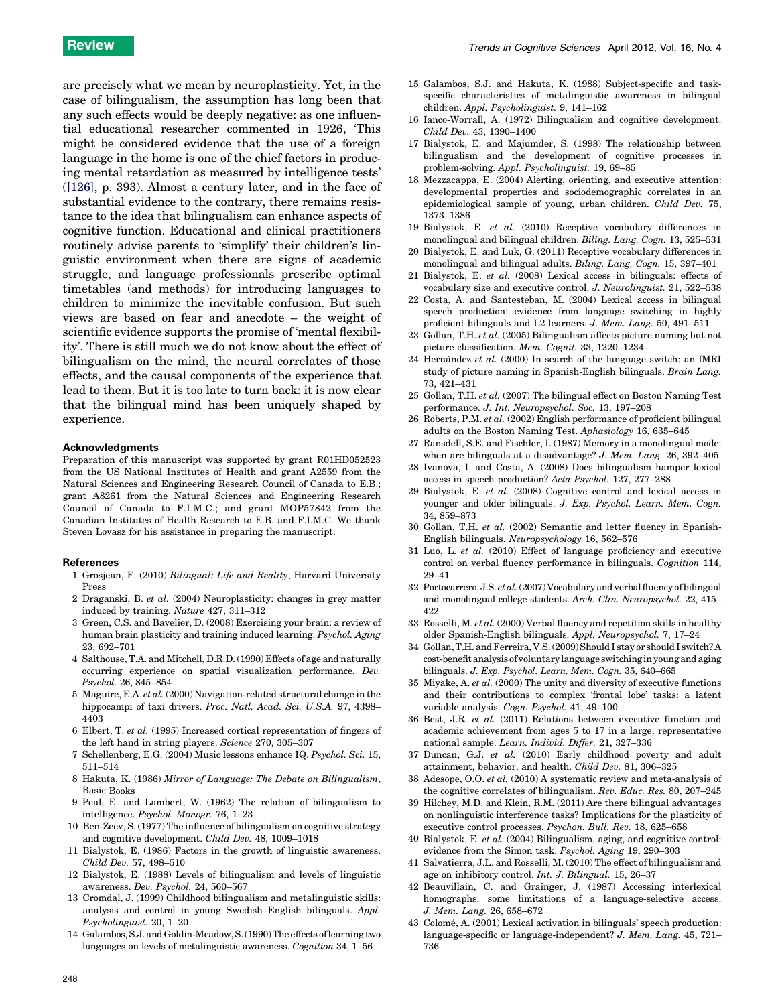<span id="page-8-0"></span>are precisely what we mean by neuroplasticity. Yet, in the case of bilingualism, the assumption has long been that any such effects would be deeply negative: as one influential educational researcher commented in 1926, 'This might be considered evidence that the use of a foreign language in the home is one of the chief factors in producing mental retardation as measured by intelligence tests' ([\[126\]](#page-10-0), p. 393). Almost a century later, and in the face of substantial evidence to the contrary, there remains resistance to the idea that bilingualism can enhance aspects of cognitive function. Educational and clinical practitioners routinely advise parents to 'simplify' their children's linguistic environment when there are signs of academic struggle, and language professionals prescribe optimal timetables (and methods) for introducing languages to children to minimize the inevitable confusion. But such views are based on fear and anecdote – the weight of scientific evidence supports the promise of 'mental flexibility'. There is still much we do not know about the effect of bilingualism on the mind, the neural correlates of those effects, and the causal components of the experience that lead to them. But it is too late to turn back: it is now clear that the bilingual mind has been uniquely shaped by experience.

#### Acknowledgments

Preparation of this manuscript was supported by grant R01HD052523 from the US National Institutes of Health and grant A2559 from the Natural Sciences and Engineering Research Council of Canada to E.B.; grant A8261 from the Natural Sciences and Engineering Research Council of Canada to F.I.M.C.; and grant MOP57842 from the Canadian Institutes of Health Research to E.B. and F.I.M.C. We thank Steven Lovasz for his assistance in preparing the manuscript.

#### **References**

- 1 Grosjean, F. (2010) Bilingual: Life and Reality, Harvard University Press
- 2 Draganski, B. et al. (2004) Neuroplasticity: changes in grey matter induced by training. Nature 427, 311–312
- 3 Green, C.S. and Bavelier, D. (2008) Exercising your brain: a review of human brain plasticity and training induced learning. Psychol. Aging 23, 692–701
- 4 Salthouse, T.A. and Mitchell, D.R.D. (1990) Effects of age and naturally occurring experience on spatial visualization performance. Dev. Psychol. 26, 845–854
- 5 Maguire, E.A. et al. (2000) Navigation-related structural change in the hippocampi of taxi drivers. Proc. Natl. Acad. Sci. U.S.A. 97, 4398– 4403
- 6 Elbert, T. et al. (1995) Increased cortical representation of fingers of the left hand in string players. Science 270, 305–307
- 7 Schellenberg, E.G. (2004) Music lessons enhance IQ. Psychol. Sci. 15, 511–514
- 8 Hakuta, K. (1986) Mirror of Language: The Debate on Bilingualism, Basic Books
- 9 Peal, E. and Lambert, W. (1962) The relation of bilingualism to intelligence. Psychol. Monogr. 76, 1–23
- 10 Ben-Zeev, S. (1977) The influence of bilingualism on cognitive strategy and cognitive development. Child Dev. 48, 1009–1018
- 11 Bialystok, E. (1986) Factors in the growth of linguistic awareness. Child Dev. 57, 498–510
- 12 Bialystok, E. (1988) Levels of bilingualism and levels of linguistic awareness. Dev. Psychol. 24, 560–567
- 13 Cromdal, J. (1999) Childhood bilingualism and metalinguistic skills: analysis and control in young Swedish–English bilinguals. Appl. Psycholinguist. 20, 1–20
- 14 Galambos,S.J. and Goldin-Meadow,S.(1990)The effects oflearning two languages on levels of metalinguistic awareness. Cognition 34, 1–56
- 15 Galambos, S.J. and Hakuta, K. (1988) Subject-specific and taskspecific characteristics of metalinguistic awareness in bilingual children. Appl. Psycholinguist. 9, 141–162
- 16 Ianco-Worrall, A. (1972) Bilingualism and cognitive development. Child Dev. 43, 1390–1400
- 17 Bialystok, E. and Majumder, S. (1998) The relationship between bilingualism and the development of cognitive processes in problem-solving. Appl. Psycholinguist. 19, 69–85
- 18 Mezzacappa, E. (2004) Alerting, orienting, and executive attention: developmental properties and sociodemographic correlates in an epidemiological sample of young, urban children. Child Dev. 75, 1373–1386
- 19 Bialystok, E. et al. (2010) Receptive vocabulary differences in monolingual and bilingual children. Biling. Lang. Cogn. 13, 525–531
- 20 Bialystok, E. and Luk, G. (2011) Receptive vocabulary differences in monolingual and bilingual adults. Biling. Lang. Cogn. 15, 397–401
- 21 Bialystok, E. et al. (2008) Lexical access in bilinguals: effects of vocabulary size and executive control. J. Neurolinguist. 21, 522–538
- 22 Costa, A. and Santesteban, M. (2004) Lexical access in bilingual speech production: evidence from language switching in highly proficient bilinguals and L2 learners. J. Mem. Lang. 50, 491–511
- 23 Gollan, T.H. et al. (2005) Bilingualism affects picture naming but not picture classification. Mem. Cognit. 33, 1220–1234
- 24 Hernández et al. (2000) In search of the language switch: an fMRI study of picture naming in Spanish-English bilinguals. Brain Lang. 73, 421–431
- 25 Gollan, T.H. et al. (2007) The bilingual effect on Boston Naming Test performance. J. Int. Neuropsychol. Soc. 13, 197–208
- 26 Roberts, P.M. et al. (2002) English performance of proficient bilingual adults on the Boston Naming Test. Aphasiology 16, 635–645
- 27 Ransdell, S.E. and Fischler, I. (1987) Memory in a monolingual mode: when are bilinguals at a disadvantage? J. Mem. Lang. 26, 392–405
- 28 Ivanova, I. and Costa, A. (2008) Does bilingualism hamper lexical access in speech production? Acta Psychol. 127, 277–288
- 29 Bialystok, E. et al. (2008) Cognitive control and lexical access in younger and older bilinguals. J. Exp. Psychol. Learn. Mem. Cogn. 34, 859–873
- 30 Gollan, T.H. et al. (2002) Semantic and letter fluency in Spanish-English bilinguals. Neuropsychology 16, 562–576
- 31 Luo, L. et al. (2010) Effect of language proficiency and executive control on verbal fluency performance in bilinguals. Cognition 114, 29–41
- 32 Portocarrero, J.S. et al.(2007)Vocabulary and verbalfluency of bilingual and monolingual college students. Arch. Clin. Neuropsychol. 22, 415– 422
- 33 Rosselli, M. et al. (2000) Verbal fluency and repetition skills in healthy older Spanish-English bilinguals. Appl. Neuropsychol. 7, 17–24
- 34 Gollan, T.H. and Ferreira, V.S. (2009) Should I stay or should I switch? A cost-benefit analysis ofvoluntary language switching inyoung andaging bilinguals. J. Exp. Psychol. Learn. Mem. Cogn. 35, 640–665
- 35 Miyake, A. et al. (2000) The unity and diversity of executive functions and their contributions to complex 'frontal lobe' tasks: a latent variable analysis. Cogn. Psychol. 41, 49–100
- 36 Best, J.R. et al. (2011) Relations between executive function and academic achievement from ages 5 to 17 in a large, representative national sample. Learn. Individ. Differ. 21, 327–336
- 37 Duncan, G.J. et al. (2010) Early childhood poverty and adult attainment, behavior, and health. Child Dev. 81, 306–325
- 38 Adesope, O.O. et al. (2010) A systematic review and meta-analysis of the cognitive correlates of bilingualism. Rev. Educ. Res. 80, 207–245
- 39 Hilchey, M.D. and Klein, R.M. (2011) Are there bilingual advantages on nonlinguistic interference tasks? Implications for the plasticity of executive control processes. Psychon. Bull. Rev. 18, 625–658
- 40 Bialystok, E. et al. (2004) Bilingualism, aging, and cognitive control: evidence from the Simon task. Psychol. Aging 19, 290–303
- 41 Salvatierra, J.L. and Rosselli, M. (2010) The effect of bilingualism and age on inhibitory control. Int. J. Bilingual. 15, 26–37
- 42 Beauvillain, C. and Grainger, J. (1987) Accessing interlexical homographs: some limitations of a language-selective access. J. Mem. Lang. 26, 658–672
- 43 Colomé, A. (2001) Lexical activation in bilinguals' speech production: language-specific or language-independent? J. Mem. Lang. 45, 721– 736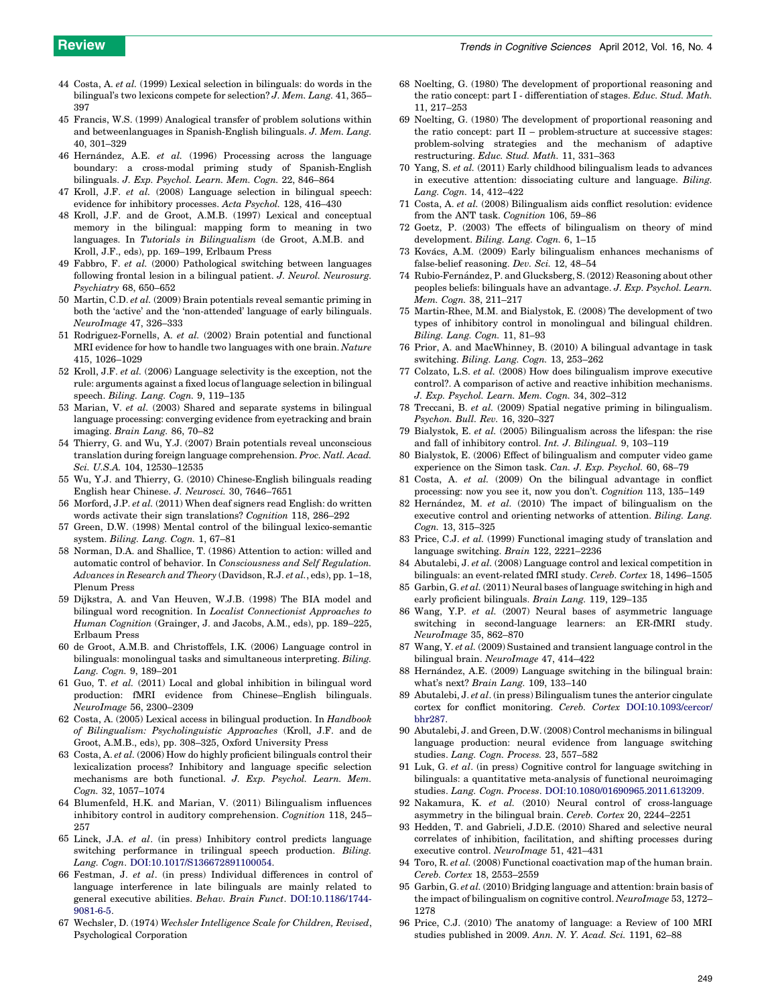- <span id="page-9-0"></span>44 Costa, A. et al. (1999) Lexical selection in bilinguals: do words in the bilingual's two lexicons compete for selection? J. Mem. Lang. 41, 365– 397
- 45 Francis, W.S. (1999) Analogical transfer of problem solutions within and betweenlanguages in Spanish-English bilinguals. J. Mem. Lang. 40, 301–329
- 46 Hernández, A.E. et al. (1996) Processing across the language boundary: a cross-modal priming study of Spanish-English bilinguals. J. Exp. Psychol. Learn. Mem. Cogn. 22, 846–864
- 47 Kroll, J.F. et al. (2008) Language selection in bilingual speech: evidence for inhibitory processes. Acta Psychol. 128, 416–430
- 48 Kroll, J.F. and de Groot, A.M.B. (1997) Lexical and conceptual memory in the bilingual: mapping form to meaning in two languages. In Tutorials in Bilingualism (de Groot, A.M.B. and Kroll, J.F., eds), pp. 169–199, Erlbaum Press
- 49 Fabbro, F. et al. (2000) Pathological switching between languages following frontal lesion in a bilingual patient. J. Neurol. Neurosurg. Psychiatry 68, 650–652
- 50 Martin, C.D. et al. (2009) Brain potentials reveal semantic priming in both the 'active' and the 'non-attended' language of early bilinguals. NeuroImage 47, 326–333
- 51 Rodriguez-Fornells, A. et al. (2002) Brain potential and functional MRI evidence for how to handle two languages with one brain. Nature 415, 1026–1029
- 52 Kroll, J.F. et al. (2006) Language selectivity is the exception, not the rule: arguments against a fixed locus of language selection in bilingual speech. Biling. Lang. Cogn. 9, 119–135
- 53 Marian, V. et al. (2003) Shared and separate systems in bilingual language processing: converging evidence from eyetracking and brain imaging. Brain Lang. 86, 70–82
- 54 Thierry, G. and Wu, Y.J. (2007) Brain potentials reveal unconscious translation during foreign language comprehension. Proc. Natl. Acad. Sci. U.S.A. 104, 12530–12535
- 55 Wu, Y.J. and Thierry, G. (2010) Chinese-English bilinguals reading English hear Chinese. J. Neurosci. 30, 7646–7651
- 56 Morford, J.P. et al. (2011) When deaf signers read English: do written words activate their sign translations? Cognition 118, 286–292
- 57 Green, D.W. (1998) Mental control of the bilingual lexico-semantic system. Biling. Lang. Cogn. 1, 67–81
- 58 Norman, D.A. and Shallice, T. (1986) Attention to action: willed and automatic control of behavior. In Consciousness and Self Regulation. Advances in Research and Theory (Davidson, R.J. et al., eds), pp. 1–18, Plenum Press
- 59 Dijkstra, A. and Van Heuven, W.J.B. (1998) The BIA model and bilingual word recognition. In Localist Connectionist Approaches to Human Cognition (Grainger, J. and Jacobs, A.M., eds), pp. 189–225, Erlbaum Press
- 60 de Groot, A.M.B. and Christoffels, I.K. (2006) Language control in bilinguals: monolingual tasks and simultaneous interpreting. Biling. Lang. Cogn. 9, 189–201
- 61 Guo, T. et al. (2011) Local and global inhibition in bilingual word production: fMRI evidence from Chinese–English bilinguals. NeuroImage 56, 2300–2309
- 62 Costa, A. (2005) Lexical access in bilingual production. In Handbook of Bilingualism: Psycholinguistic Approaches (Kroll, J.F. and de Groot, A.M.B., eds), pp. 308–325, Oxford University Press
- 63 Costa, A. et al. (2006) How do highly proficient bilinguals control their lexicalization process? Inhibitory and language specific selection mechanisms are both functional. J. Exp. Psychol. Learn. Mem. Cogn. 32, 1057–1074
- 64 Blumenfeld, H.K. and Marian, V. (2011) Bilingualism influences inhibitory control in auditory comprehension. Cognition 118, 245– 257
- 65 Linck, J.A. et al. (in press) Inhibitory control predicts language switching performance in trilingual speech production. Biling. Lang. Cogn. [DOI:10.1017/S136672891100054.](http://dx.doi.org/10.1017/S136672891100054)
- 66 Festman, J. et al. (in press) Individual differences in control of language interference in late bilinguals are mainly related to general executive abilities. Behav. Brain Funct. [DOI:10.1186/1744-](http://dx.doi.org/10.1186/1744-9081-6-5) [9081-6-5.](http://dx.doi.org/10.1186/1744-9081-6-5)
- 67 Wechsler, D. (1974) Wechsler Intelligence Scale for Children, Revised, Psychological Corporation
- 68 Noelting, G. (1980) The development of proportional reasoning and the ratio concept: part I - differentiation of stages. Educ. Stud. Math. 11, 217–253
- 69 Noelting, G. (1980) The development of proportional reasoning and the ratio concept: part  $II$  – problem-structure at successive stages: problem-solving strategies and the mechanism of adaptive restructuring. Educ. Stud. Math. 11, 331–363
- 70 Yang, S. et al. (2011) Early childhood bilingualism leads to advances in executive attention: dissociating culture and language. Biling. Lang. Cogn. 14, 412–422
- 71 Costa, A. et al. (2008) Bilingualism aids conflict resolution: evidence from the ANT task. Cognition 106, 59–86
- 72 Goetz, P. (2003) The effects of bilingualism on theory of mind development. Biling. Lang. Cogn. 6, 1–15
- 73 Kovács, A.M. (2009) Early bilingualism enhances mechanisms of false-belief reasoning. Dev. Sci. 12, 48–54
- 74 Rubio-Fernández, P. and Glucksberg, S. (2012) Reasoning about other peoples beliefs: bilinguals have an advantage. J. Exp. Psychol. Learn. Mem. Cogn. 38, 211–217
- 75 Martin-Rhee, M.M. and Bialystok, E. (2008) The development of two types of inhibitory control in monolingual and bilingual children. Biling. Lang. Cogn. 11, 81–93
- 76 Prior, A. and MacWhinney, B. (2010) A bilingual advantage in task switching. Biling. Lang. Cogn. 13, 253–262
- 77 Colzato, L.S. et al. (2008) How does bilingualism improve executive control?. A comparison of active and reactive inhibition mechanisms. J. Exp. Psychol. Learn. Mem. Cogn. 34, 302–312
- 78 Treccani, B. et al. (2009) Spatial negative priming in bilingualism. Psychon. Bull. Rev. 16, 320–327
- 79 Bialystok, E. et al. (2005) Bilingualism across the lifespan: the rise and fall of inhibitory control. Int. J. Bilingual. 9, 103–119
- 80 Bialystok, E. (2006) Effect of bilingualism and computer video game experience on the Simon task. Can. J. Exp. Psychol. 60, 68–79
- 81 Costa, A. et al. (2009) On the bilingual advantage in conflict processing: now you see it, now you don't. Cognition 113, 135–149
- 82 Hernández, M. et al.  $(2010)$  The impact of bilingualism on the executive control and orienting networks of attention. Biling. Lang. Cogn. 13, 315–325
- 83 Price, C.J. et al. (1999) Functional imaging study of translation and language switching. Brain 122, 2221–2236
- 84 Abutalebi, J. et al. (2008) Language control and lexical competition in bilinguals: an event-related fMRI study. Cereb. Cortex 18, 1496–1505
- 85 Garbin, G. et al. (2011) Neural bases of language switching in high and early proficient bilinguals. Brain Lang. 119, 129–135
- 86 Wang, Y.P. et al. (2007) Neural bases of asymmetric language switching in second-language learners: an ER-fMRI study. NeuroImage 35, 862–870
- 87 Wang, Y. et al. (2009) Sustained and transient language control in the bilingual brain. NeuroImage 47, 414–422
- 88 Hernández, A.E. (2009) Language switching in the bilingual brain: what's next? Brain Lang. 109, 133–140
- 89 Abutalebi, J. et al. (in press) Bilingualism tunes the anterior cingulate cortex for conflict monitoring. Cereb. Cortex [DOI:10.1093/cercor/](http://dx.doi.org/10.1093/cercor/bhr287) [bhr287.](http://dx.doi.org/10.1093/cercor/bhr287)
- 90 Abutalebi, J. and Green, D.W. (2008) Control mechanisms in bilingual language production: neural evidence from language switching studies. Lang. Cogn. Process. 23, 557–582
- 91 Luk, G. et al. (in press) Cognitive control for language switching in bilinguals: a quantitative meta-analysis of functional neuroimaging studies. Lang. Cogn. Process. [DOI:10.1080/01690965.2011.613209](http://dx.doi.org/10.1080/01690965.2011.613209).
- 92 Nakamura, K. et al. (2010) Neural control of cross-language asymmetry in the bilingual brain. Cereb. Cortex 20, 2244–2251
- 93 Hedden, T. and Gabrieli, J.D.E. (2010) Shared and selective neural correlates of inhibition, facilitation, and shifting processes during executive control. NeuroImage 51, 421–431
- 94 Toro, R. et al. (2008) Functional coactivation map of the human brain. Cereb. Cortex 18, 2553–2559
- 95 Garbin, G. et al. (2010) Bridging language and attention: brain basis of the impact of bilingualism on cognitive control. NeuroImage 53, 1272– 1278
- 96 Price, C.J. (2010) The anatomy of language: a Review of 100 MRI studies published in 2009. Ann. N. Y. Acad. Sci. 1191, 62–88